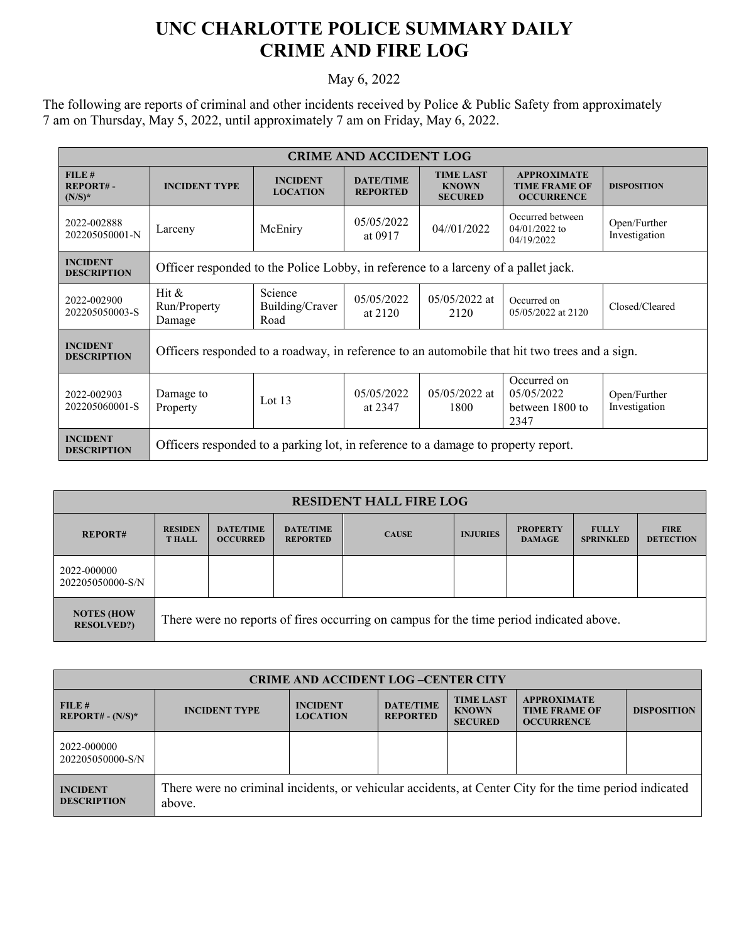## **UNC CHARLOTTE POLICE SUMMARY DAILY CRIME AND FIRE LOG**

## May 6, 2022

The following are reports of criminal and other incidents received by Police & Public Safety from approximately 7 am on Thursday, May 5, 2022, until approximately 7 am on Friday, May 6, 2022.

| <b>CRIME AND ACCIDENT LOG</b>         |                                                                                               |                                    |                                     |                                                    |                                                                 |                               |  |  |
|---------------------------------------|-----------------------------------------------------------------------------------------------|------------------------------------|-------------------------------------|----------------------------------------------------|-----------------------------------------------------------------|-------------------------------|--|--|
| FILE#<br>REPORT#-<br>$(N/S)^*$        | <b>INCIDENT TYPE</b>                                                                          | <b>INCIDENT</b><br><b>LOCATION</b> | <b>DATE/TIME</b><br><b>REPORTED</b> | <b>TIME LAST</b><br><b>KNOWN</b><br><b>SECURED</b> | <b>APPROXIMATE</b><br><b>TIME FRAME OF</b><br><b>OCCURRENCE</b> | <b>DISPOSITION</b>            |  |  |
| 2022-002888<br>202205050001-N         | Larceny                                                                                       | McEniry                            | 05/05/2022<br>at 0917               | 04//01/2022                                        | Occurred between<br>$04/01/2022$ to<br>04/19/2022               | Open/Further<br>Investigation |  |  |
| <b>INCIDENT</b><br><b>DESCRIPTION</b> | Officer responded to the Police Lobby, in reference to a larceny of a pallet jack.            |                                    |                                     |                                                    |                                                                 |                               |  |  |
| 2022-002900<br>202205050003-S         | Hit &<br>Run/Property<br>Damage                                                               | Science<br>Building/Craver<br>Road | 05/05/2022<br>at 2120               | $05/05/2022$ at<br>2120                            | Occurred on<br>05/05/2022 at 2120                               | Closed/Cleared                |  |  |
| <b>INCIDENT</b><br><b>DESCRIPTION</b> | Officers responded to a roadway, in reference to an automobile that hit two trees and a sign. |                                    |                                     |                                                    |                                                                 |                               |  |  |
| 2022-002903<br>202205060001-S         | Damage to<br>Property                                                                         | Lot $13$                           | 05/05/2022<br>at 2347               | $05/05/2022$ at<br>1800                            | Occurred on<br>05/05/2022<br>between 1800 to<br>2347            | Open/Further<br>Investigation |  |  |
| <b>INCIDENT</b><br><b>DESCRIPTION</b> | Officers responded to a parking lot, in reference to a damage to property report.             |                                    |                                     |                                                    |                                                                 |                               |  |  |

| <b>RESIDENT HALL FIRE LOG</b>          |                                                                                         |                                     |                                     |              |                 |                                  |                                  |                                 |
|----------------------------------------|-----------------------------------------------------------------------------------------|-------------------------------------|-------------------------------------|--------------|-----------------|----------------------------------|----------------------------------|---------------------------------|
| <b>REPORT#</b>                         | <b>RESIDEN</b><br><b>THALL</b>                                                          | <b>DATE/TIME</b><br><b>OCCURRED</b> | <b>DATE/TIME</b><br><b>REPORTED</b> | <b>CAUSE</b> | <b>INJURIES</b> | <b>PROPERTY</b><br><b>DAMAGE</b> | <b>FULLY</b><br><b>SPRINKLED</b> | <b>FIRE</b><br><b>DETECTION</b> |
| 2022-000000<br>202205050000-S/N        |                                                                                         |                                     |                                     |              |                 |                                  |                                  |                                 |
| <b>NOTES (HOW</b><br><b>RESOLVED?)</b> | There were no reports of fires occurring on campus for the time period indicated above. |                                     |                                     |              |                 |                                  |                                  |                                 |

| <b>CRIME AND ACCIDENT LOG-CENTER CITY</b> |                                                                                                                  |                                    |                                     |                                                    |                                                                 |                    |  |  |
|-------------------------------------------|------------------------------------------------------------------------------------------------------------------|------------------------------------|-------------------------------------|----------------------------------------------------|-----------------------------------------------------------------|--------------------|--|--|
| FILE#<br>$REPORT# - (N/S)*$               | <b>INCIDENT TYPE</b>                                                                                             | <b>INCIDENT</b><br><b>LOCATION</b> | <b>DATE/TIME</b><br><b>REPORTED</b> | <b>TIME LAST</b><br><b>KNOWN</b><br><b>SECURED</b> | <b>APPROXIMATE</b><br><b>TIME FRAME OF</b><br><b>OCCURRENCE</b> | <b>DISPOSITION</b> |  |  |
| 2022-000000<br>202205050000-S/N           |                                                                                                                  |                                    |                                     |                                                    |                                                                 |                    |  |  |
| <b>INCIDENT</b><br><b>DESCRIPTION</b>     | There were no criminal incidents, or vehicular accidents, at Center City for the time period indicated<br>above. |                                    |                                     |                                                    |                                                                 |                    |  |  |